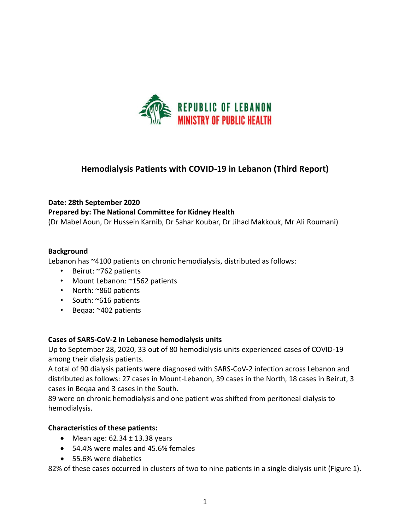

# **Hemodialysis Patients with COVID-19 in Lebanon (Third Report)**

#### **Date: 28th September 2020**

### **Prepared by: The National Committee for Kidney Health**

(Dr Mabel Aoun, Dr Hussein Karnib, Dr Sahar Koubar, Dr Jihad Makkouk, Mr Ali Roumani)

#### **Background**

Lebanon has ~4100 patients on chronic hemodialysis, distributed as follows:

- Beirut: ~762 patients
- Mount Lebanon: ~1562 patients
- North: ~860 patients
- South: ~616 patients
- Beqaa: ~402 patients

#### **Cases of SARS-CoV-2 in Lebanese hemodialysis units**

Up to September 28, 2020, 33 out of 80 hemodialysis units experienced cases of COVID-19 among their dialysis patients.

A total of 90 dialysis patients were diagnosed with SARS-CoV-2 infection across Lebanon and distributed as follows: 27 cases in Mount-Lebanon, 39 cases in the North, 18 cases in Beirut, 3 cases in Beqaa and 3 cases in the South.

89 were on chronic hemodialysis and one patient was shifted from peritoneal dialysis to hemodialysis.

## **Characteristics of these patients:**

- Mean age:  $62.34 \pm 13.38$  years
- 54.4% were males and 45.6% females
- 55.6% were diabetics

82% of these cases occurred in clusters of two to nine patients in a single dialysis unit (Figure 1).